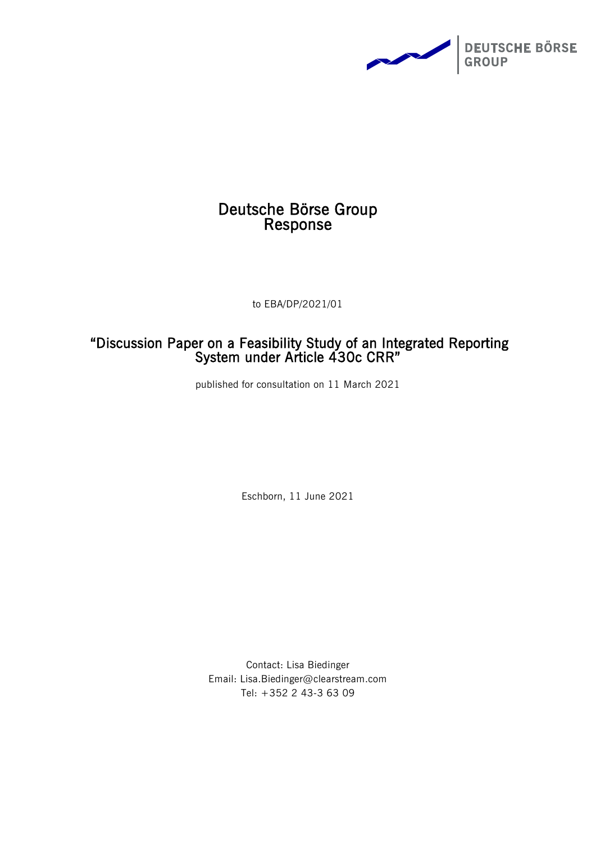

# Deutsche Börse Group Response

to EBA/DP/2021/01

# "Discussion Paper on a Feasibility Study of an Integrated Reporting System under Article 430c CRR"

published for consultation on 11 March 2021

Eschborn, 11 June 2021

Contact: Lisa Biedinger Email: Lisa.Biedinger@clearstream.com Tel: +352 2 43-3 63 09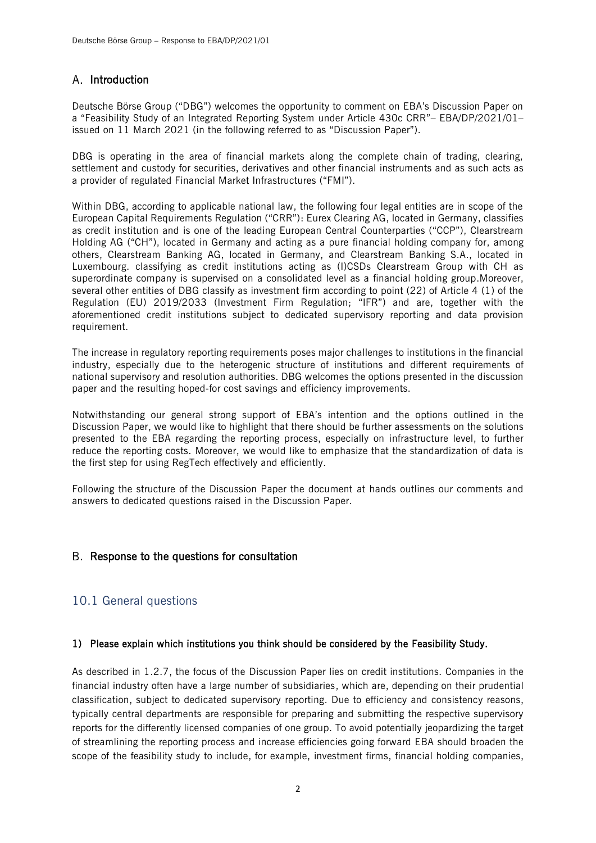## A. Introduction

Deutsche Börse Group ("DBG") welcomes the opportunity to comment on EBA's Discussion Paper on a "Feasibility Study of an Integrated Reporting System under Article 430c CRR"– EBA/DP/2021/01– issued on 11 March 2021 (in the following referred to as "Discussion Paper").

DBG is operating in the area of financial markets along the complete chain of trading, clearing, settlement and custody for securities, derivatives and other financial instruments and as such acts as a provider of regulated Financial Market Infrastructures ("FMI").

Within DBG, according to applicable national law, the following four legal entities are in scope of the European Capital Requirements Regulation ("CRR"): Eurex Clearing AG, located in Germany, classifies as credit institution and is one of the leading European Central Counterparties ("CCP"), Clearstream Holding AG ("CH"), located in Germany and acting as a pure financial holding company for, among others, Clearstream Banking AG, located in Germany, and Clearstream Banking S.A., located in Luxembourg. classifying as credit institutions acting as (I)CSDs Clearstream Group with CH as superordinate company is supervised on a consolidated level as a financial holding group.Moreover, several other entities of DBG classify as investment firm according to point (22) of Article 4 (1) of the Regulation (EU) 2019/2033 (Investment Firm Regulation; "IFR") and are, together with the aforementioned credit institutions subject to dedicated supervisory reporting and data provision requirement.

The increase in regulatory reporting requirements poses major challenges to institutions in the financial industry, especially due to the heterogenic structure of institutions and different requirements of national supervisory and resolution authorities. DBG welcomes the options presented in the discussion paper and the resulting hoped-for cost savings and efficiency improvements.

Notwithstanding our general strong support of EBA's intention and the options outlined in the Discussion Paper, we would like to highlight that there should be further assessments on the solutions presented to the EBA regarding the reporting process, especially on infrastructure level, to further reduce the reporting costs. Moreover, we would like to emphasize that the standardization of data is the first step for using RegTech effectively and efficiently.

Following the structure of the Discussion Paper the document at hands outlines our comments and answers to dedicated questions raised in the Discussion Paper.

## B. Response to the questions for consultation

## 10.1 General questions

#### 1) Please explain which institutions you think should be considered by the Feasibility Study.

As described in 1.2.7, the focus of the Discussion Paper lies on credit institutions. Companies in the financial industry often have a large number of subsidiaries, which are, depending on their prudential classification, subject to dedicated supervisory reporting. Due to efficiency and consistency reasons, typically central departments are responsible for preparing and submitting the respective supervisory reports for the differently licensed companies of one group. To avoid potentially jeopardizing the target of streamlining the reporting process and increase efficiencies going forward EBA should broaden the scope of the feasibility study to include, for example, investment firms, financial holding companies,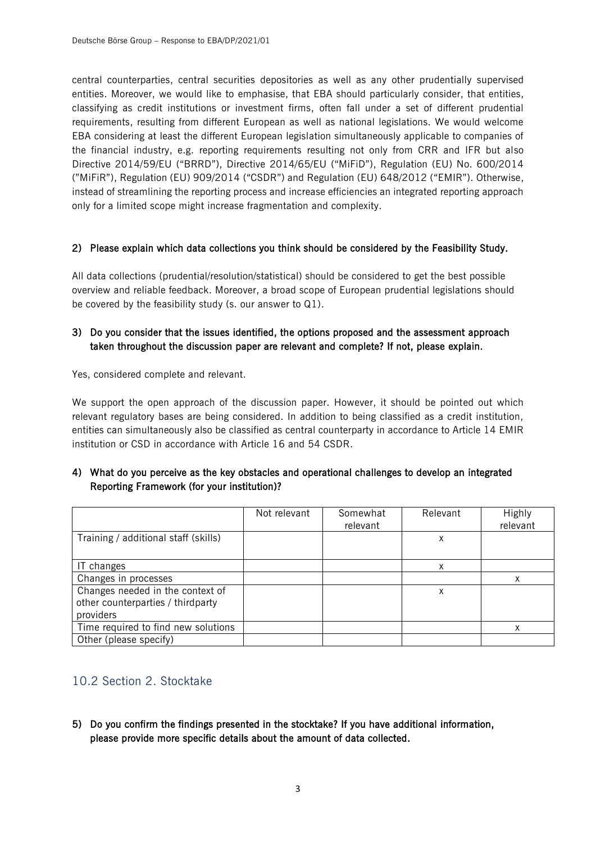central counterparties, central securities depositories as well as any other prudentially supervised entities. Moreover, we would like to emphasise, that EBA should particularly consider, that entities, classifying as credit institutions or investment firms, often fall under a set of different prudential requirements, resulting from different European as well as national legislations. We would welcome EBA considering at least the different European legislation simultaneously applicable to companies of the financial industry, e.g. reporting requirements resulting not only from CRR and IFR but also Directive 2014/59/EU ("BRRD"), Directive 2014/65/EU ("MiFiD"), Regulation (EU) No. 600/2014 ("MiFiR"), Regulation (EU) 909/2014 ("CSDR") and Regulation (EU) 648/2012 ("EMIR"). Otherwise, instead of streamlining the reporting process and increase efficiencies an integrated reporting approach only for a limited scope might increase fragmentation and complexity.

#### 2) Please explain which data collections you think should be considered by the Feasibility Study.

All data collections (prudential/resolution/statistical) should be considered to get the best possible overview and reliable feedback. Moreover, a broad scope of European prudential legislations should be covered by the feasibility study (s. our answer to Q1).

## 3) Do you consider that the issues identified, the options proposed and the assessment approach taken throughout the discussion paper are relevant and complete? If not, please explain.

Yes, considered complete and relevant.

We support the open approach of the discussion paper. However, it should be pointed out which relevant regulatory bases are being considered. In addition to being classified as a credit institution, entities can simultaneously also be classified as central counterparty in accordance to Article 14 EMIR institution or CSD in accordance with Article 16 and 54 CSDR.

## 4) What do you perceive as the key obstacles and operational challenges to develop an integrated Reporting Framework (for your institution)?

|                                      | Not relevant | Somewhat<br>relevant | Relevant | Highly<br>relevant |
|--------------------------------------|--------------|----------------------|----------|--------------------|
| Training / additional staff (skills) |              |                      | Χ        |                    |
| IT changes                           |              |                      | x        |                    |
| Changes in processes                 |              |                      |          |                    |
| Changes needed in the context of     |              |                      | Χ        |                    |
| other counterparties / thirdparty    |              |                      |          |                    |
| providers                            |              |                      |          |                    |
| Time required to find new solutions  |              |                      |          | x                  |
| Other (please specify)               |              |                      |          |                    |

## 10.2 Section 2. Stocktake

5) Do you confirm the findings presented in the stocktake? If you have additional information, please provide more specific details about the amount of data collected.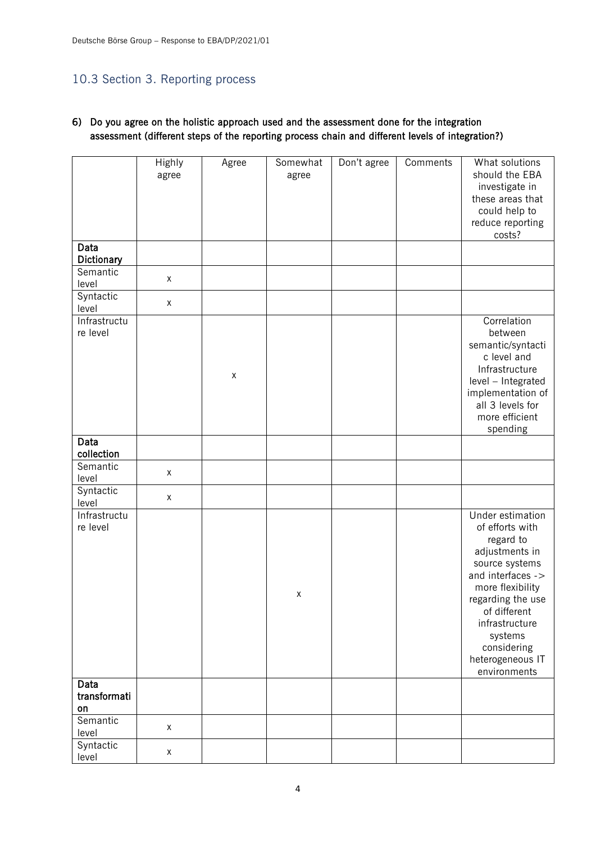# 10.3 Section 3. Reporting process

## 6) Do you agree on the holistic approach used and the assessment done for the integration assessment (different steps of the reporting process chain and different levels of integration?)

|                            | Highly<br>agree | Agree | Somewhat<br>agree  | Don't agree | Comments | What solutions<br>should the EBA<br>investigate in<br>these areas that<br>could help to<br>reduce reporting<br>costs?                                                                                                                              |
|----------------------------|-----------------|-------|--------------------|-------------|----------|----------------------------------------------------------------------------------------------------------------------------------------------------------------------------------------------------------------------------------------------------|
| Data<br>Dictionary         |                 |       |                    |             |          |                                                                                                                                                                                                                                                    |
| Semantic<br>level          | X               |       |                    |             |          |                                                                                                                                                                                                                                                    |
| Syntactic<br>level         | $\mathsf X$     |       |                    |             |          |                                                                                                                                                                                                                                                    |
| Infrastructu<br>re level   |                 | X     |                    |             |          | Correlation<br>between<br>semantic/syntacti<br>c level and<br>Infrastructure<br>level - Integrated<br>implementation of<br>all 3 levels for<br>more efficient<br>spending                                                                          |
| Data<br>collection         |                 |       |                    |             |          |                                                                                                                                                                                                                                                    |
| Semantic<br>level          | $\mathsf X$     |       |                    |             |          |                                                                                                                                                                                                                                                    |
| Syntactic<br>level         | X               |       |                    |             |          |                                                                                                                                                                                                                                                    |
| Infrastructu<br>re level   |                 |       | $\pmb{\mathsf{X}}$ |             |          | Under estimation<br>of efforts with<br>regard to<br>adjustments in<br>source systems<br>and interfaces -><br>more flexibility<br>regarding the use<br>of different<br>infrastructure<br>systems<br>considering<br>heterogeneous IT<br>environments |
| Data<br>transformati<br>on |                 |       |                    |             |          |                                                                                                                                                                                                                                                    |
| Semantic<br>level          | X               |       |                    |             |          |                                                                                                                                                                                                                                                    |
| Syntactic<br>level         | X               |       |                    |             |          |                                                                                                                                                                                                                                                    |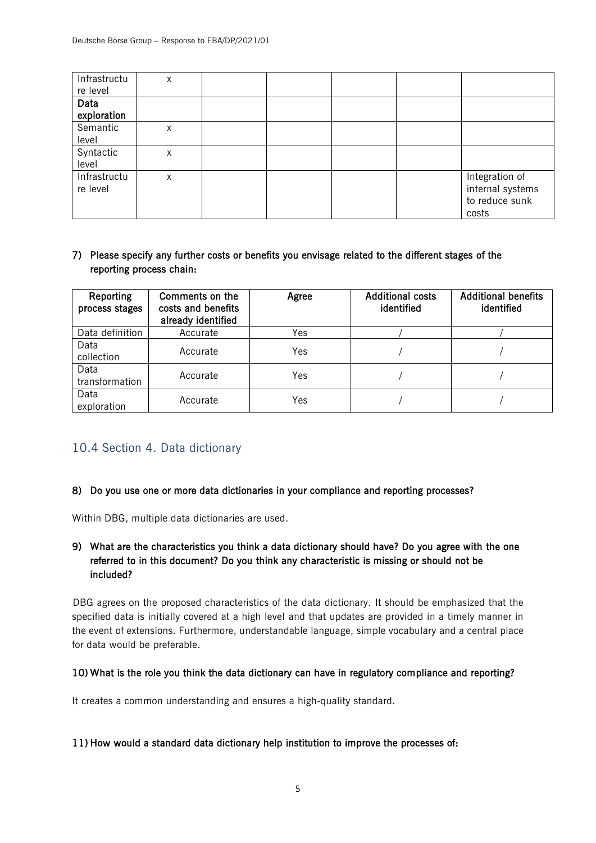| Infrastructu<br>re level | X |  |  |                                                               |
|--------------------------|---|--|--|---------------------------------------------------------------|
| Data<br>exploration      |   |  |  |                                                               |
| Semantic<br>level        | X |  |  |                                                               |
| Syntactic<br>level       | Χ |  |  |                                                               |
| Infrastructu<br>re level | X |  |  | Integration of<br>internal systems<br>to reduce sunk<br>costs |

## 7) Please specify any further costs or benefits you envisage related to the different stages of the reporting process chain:

| Reporting<br>process stages | Comments on the<br>costs and benefits<br>already identified | Agree | <b>Additional costs</b><br>identified | <b>Additional benefits</b><br>identified |
|-----------------------------|-------------------------------------------------------------|-------|---------------------------------------|------------------------------------------|
| Data definition             | Accurate                                                    | Yes   |                                       |                                          |
| Data<br>collection          | Accurate                                                    | Yes   |                                       |                                          |
| Data<br>transformation      | Accurate                                                    | Yes   |                                       |                                          |
| Data<br>exploration         | Accurate                                                    | Yes   |                                       |                                          |

## 10.4 Section 4. Data dictionary

#### 8) Do you use one or more data dictionaries in your compliance and reporting processes?

Within DBG, multiple data dictionaries are used.

## 9) What are the characteristics you think a data dictionary should have? Do you agree with the one referred to in this document? Do you think any characteristic is missing or should not be included?

DBG agrees on the proposed characteristics of the data dictionary. It should be emphasized that the specified data is initially covered at a high level and that updates are provided in a timely manner in the event of extensions. Furthermore, understandable language, simple vocabulary and a central place for data would be preferable.

#### 10) What is the role you think the data dictionary can have in regulatory compliance and reporting?

It creates a common understanding and ensures a high-quality standard.

#### 11) How would a standard data dictionary help institution to improve the processes of: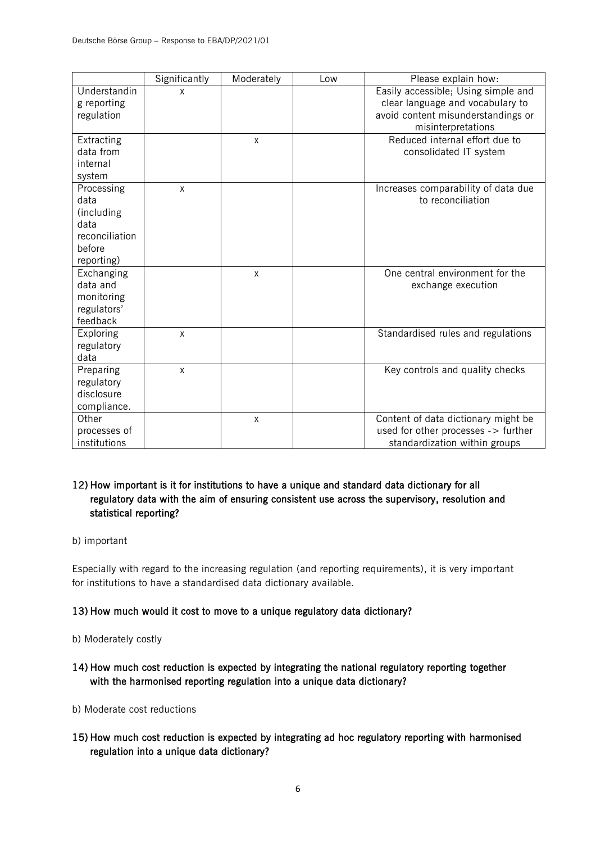|                    | Significantly | Moderately   | Low | Please explain how:                 |
|--------------------|---------------|--------------|-----|-------------------------------------|
| Understandin       | X             |              |     | Easily accessible; Using simple and |
| g reporting        |               |              |     | clear language and vocabulary to    |
| regulation         |               |              |     | avoid content misunderstandings or  |
|                    |               |              |     | misinterpretations                  |
| Extracting         |               | X            |     | Reduced internal effort due to      |
| data from          |               |              |     | consolidated IT system              |
| internal           |               |              |     |                                     |
| system             |               |              |     |                                     |
| Processing         | $\mathsf{x}$  |              |     | Increases comparability of data due |
| data               |               |              |     | to reconciliation                   |
| (including<br>data |               |              |     |                                     |
| reconciliation     |               |              |     |                                     |
| before             |               |              |     |                                     |
| reporting)         |               |              |     |                                     |
| Exchanging         |               | $\mathsf{x}$ |     | One central environment for the     |
| data and           |               |              |     | exchange execution                  |
| monitoring         |               |              |     |                                     |
| regulators'        |               |              |     |                                     |
| feedback           |               |              |     |                                     |
| Exploring          | X             |              |     | Standardised rules and regulations  |
| regulatory         |               |              |     |                                     |
| data               |               |              |     |                                     |
| Preparing          | X             |              |     | Key controls and quality checks     |
| regulatory         |               |              |     |                                     |
| disclosure         |               |              |     |                                     |
| compliance.        |               |              |     |                                     |
| Other              |               | $\mathsf{x}$ |     | Content of data dictionary might be |
| processes of       |               |              |     | used for other processes -> further |
| institutions       |               |              |     | standardization within groups       |

## 12) How important is it for institutions to have a unique and standard data dictionary for all regulatory data with the aim of ensuring consistent use across the supervisory, resolution and statistical reporting?

#### b) important

Especially with regard to the increasing regulation (and reporting requirements), it is very important for institutions to have a standardised data dictionary available.

## 13) How much would it cost to move to a unique regulatory data dictionary?

- b) Moderately costly
- 14) How much cost reduction is expected by integrating the national regulatory reporting together with the harmonised reporting regulation into a unique data dictionary?
- b) Moderate cost reductions
- 15) How much cost reduction is expected by integrating ad hoc regulatory reporting with harmonised regulation into a unique data dictionary?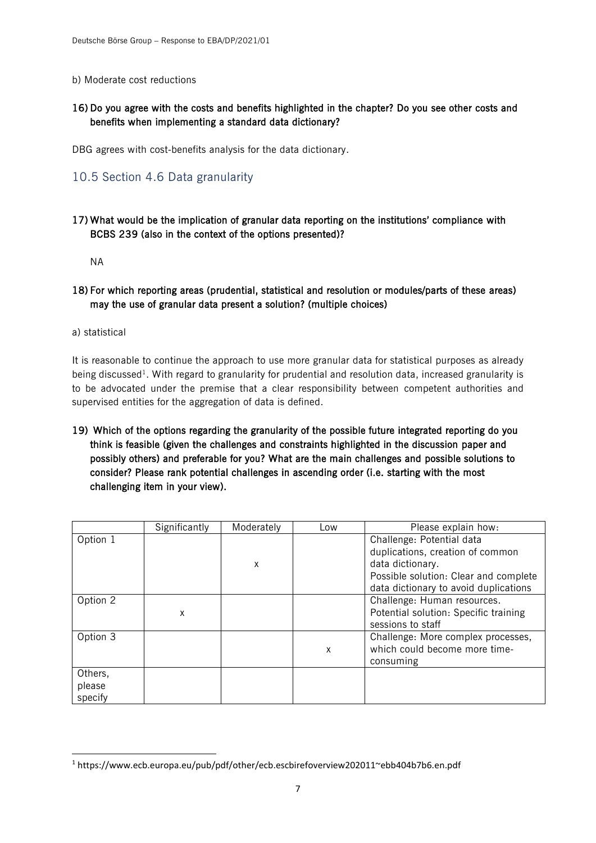#### b) Moderate cost reductions

## 16) Do you agree with the costs and benefits highlighted in the chapter? Do you see other costs and benefits when implementing a standard data dictionary?

DBG agrees with cost-benefits analysis for the data dictionary.

## 10.5 Section 4.6 Data granularity

## 17) What would be the implication of granular data reporting on the institutions' compliance with BCBS 239 (also in the context of the options presented)?

NA

### 18) For which reporting areas (prudential, statistical and resolution or modules/parts of these areas) may the use of granular data present a solution? (multiple choices)

a) statistical

It is reasonable to continue the approach to use more granular data for statistical purposes as already being discussed<sup>1</sup>. With regard to granularity for prudential and resolution data, increased granularity is to be advocated under the premise that a clear responsibility between competent authorities and supervised entities for the aggregation of data is defined.

19) Which of the options regarding the granularity of the possible future integrated reporting do you think is feasible (given the challenges and constraints highlighted in the discussion paper and possibly others) and preferable for you? What are the main challenges and possible solutions to consider? Please rank potential challenges in ascending order (i.e. starting with the most challenging item in your view).

|                              | Significantly | Moderately | Low | Please explain how:                                                                                                                                                 |
|------------------------------|---------------|------------|-----|---------------------------------------------------------------------------------------------------------------------------------------------------------------------|
| Option 1                     |               | x          |     | Challenge: Potential data<br>duplications, creation of common<br>data dictionary.<br>Possible solution: Clear and complete<br>data dictionary to avoid duplications |
| Option 2                     | X             |            |     | Challenge: Human resources.<br>Potential solution: Specific training<br>sessions to staff                                                                           |
| Option 3                     |               |            | X   | Challenge: More complex processes,<br>which could become more time-<br>consuming                                                                                    |
| Others,<br>please<br>specify |               |            |     |                                                                                                                                                                     |

<sup>1</sup> https://www.ecb.europa.eu/pub/pdf/other/ecb.escbirefoverview202011~ebb404b7b6.en.pdf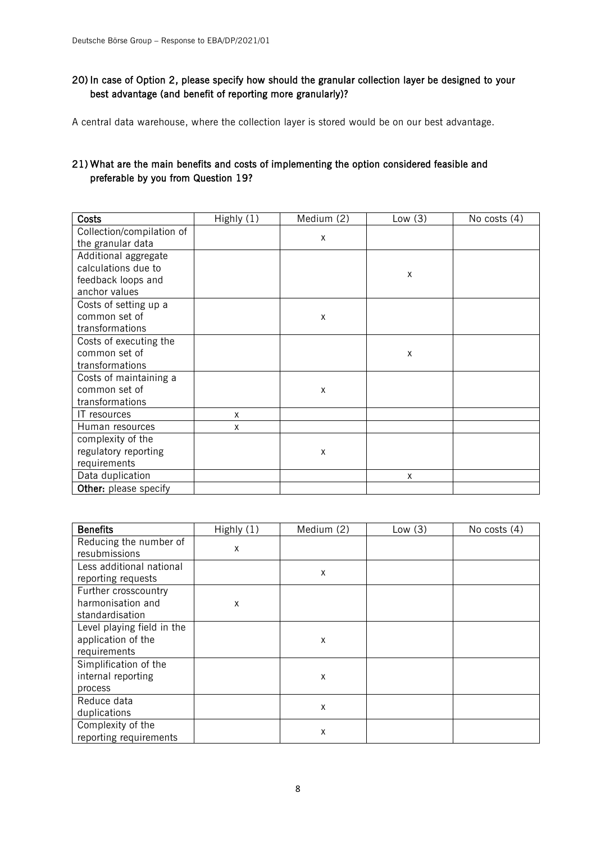## 20) In case of Option 2, please specify how should the granular collection layer be designed to your best advantage (and benefit of reporting more granularly)?

A central data warehouse, where the collection layer is stored would be on our best advantage.

## 21) What are the main benefits and costs of implementing the option considered feasible and preferable by you from Question 19?

| <b>Costs</b>              | Highly (1) | Medium (2) | Low $(3)$ | No costs (4) |
|---------------------------|------------|------------|-----------|--------------|
| Collection/compilation of |            |            |           |              |
| the granular data         |            | X          |           |              |
| Additional aggregate      |            |            |           |              |
| calculations due to       |            |            | Χ         |              |
| feedback loops and        |            |            |           |              |
| anchor values             |            |            |           |              |
| Costs of setting up a     |            |            |           |              |
| common set of             |            | X          |           |              |
| transformations           |            |            |           |              |
| Costs of executing the    |            |            |           |              |
| common set of             |            |            | Χ         |              |
| transformations           |            |            |           |              |
| Costs of maintaining a    |            |            |           |              |
| common set of             |            | X          |           |              |
| transformations           |            |            |           |              |
| IT resources              | X          |            |           |              |
| Human resources           | X          |            |           |              |
| complexity of the         |            |            |           |              |
| regulatory reporting      |            | X          |           |              |
| requirements              |            |            |           |              |
| Data duplication          |            |            | X         |              |
| Other: please specify     |            |            |           |              |

| <b>Benefits</b>                                                  | Highly (1) | Medium (2) | Low(3) | No costs (4) |
|------------------------------------------------------------------|------------|------------|--------|--------------|
| Reducing the number of<br>resubmissions                          | X          |            |        |              |
| Less additional national<br>reporting requests                   |            | Χ          |        |              |
| Further crosscountry<br>harmonisation and<br>standardisation     | X          |            |        |              |
| Level playing field in the<br>application of the<br>requirements |            | Χ          |        |              |
| Simplification of the<br>internal reporting<br>process           |            | X          |        |              |
| Reduce data<br>duplications                                      |            | Χ          |        |              |
| Complexity of the<br>reporting requirements                      |            | X          |        |              |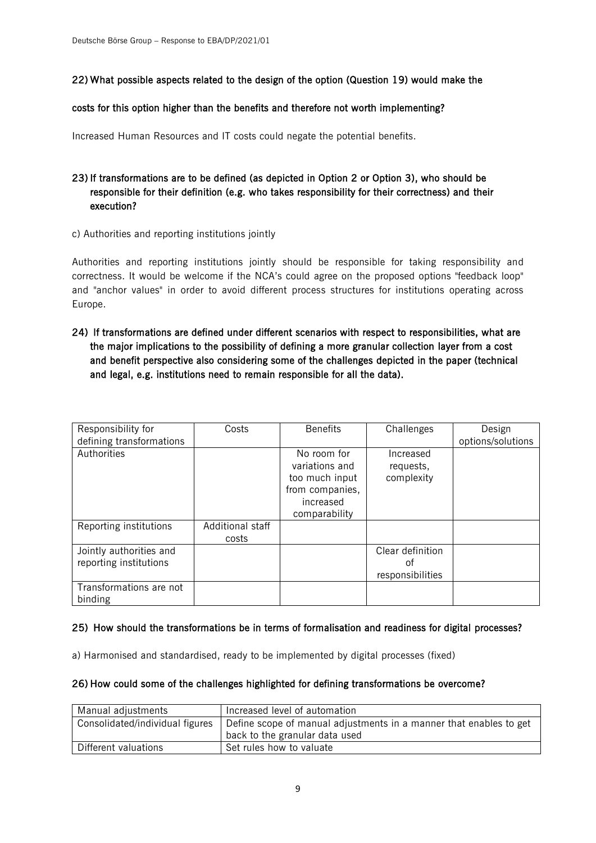## 22) What possible aspects related to the design of the option (Question 19) would make the

#### costs for this option higher than the benefits and therefore not worth implementing?

Increased Human Resources and IT costs could negate the potential benefits.

## 23) If transformations are to be defined (as depicted in Option 2 or Option 3), who should be responsible for their definition (e.g. who takes responsibility for their correctness) and their execution?

c) Authorities and reporting institutions jointly

Authorities and reporting institutions jointly should be responsible for taking responsibility and correctness. It would be welcome if the NCA's could agree on the proposed options "feedback loop" and "anchor values" in order to avoid different process structures for institutions operating across Europe.

## 24) If transformations are defined under different scenarios with respect to responsibilities, what are the major implications to the possibility of defining a more granular collection layer from a cost and benefit perspective also considering some of the challenges depicted in the paper (technical and legal, e.g. institutions need to remain responsible for all the data).

| Responsibility for<br>defining transformations    | Costs                     | <b>Benefits</b>                                                                                  | Challenges                                 | Design<br>options/solutions |
|---------------------------------------------------|---------------------------|--------------------------------------------------------------------------------------------------|--------------------------------------------|-----------------------------|
| Authorities                                       |                           | No room for<br>variations and<br>too much input<br>from companies,<br>increased<br>comparability | Increased<br>requests,<br>complexity       |                             |
| Reporting institutions                            | Additional staff<br>costs |                                                                                                  |                                            |                             |
| Jointly authorities and<br>reporting institutions |                           |                                                                                                  | Clear definition<br>οt<br>responsibilities |                             |
| Transformations are not<br>binding                |                           |                                                                                                  |                                            |                             |

#### 25) How should the transformations be in terms of formalisation and readiness for digital processes?

a) Harmonised and standardised, ready to be implemented by digital processes (fixed)

#### 26) How could some of the challenges highlighted for defining transformations be overcome?

| Manual adjustments              | Increased level of automation                                      |
|---------------------------------|--------------------------------------------------------------------|
| Consolidated/individual figures | Define scope of manual adjustments in a manner that enables to get |
|                                 | back to the granular data used                                     |
| Different valuations            | Set rules how to valuate                                           |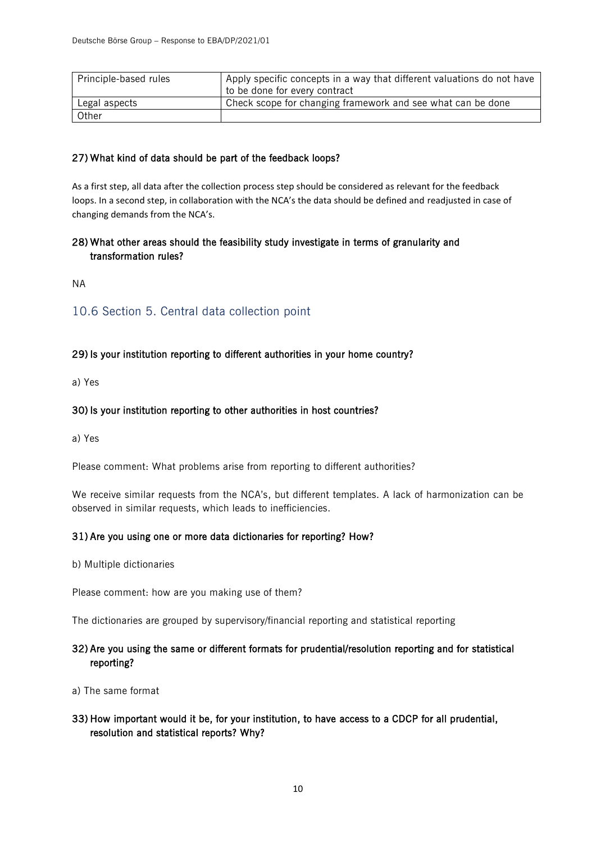| Principle-based rules | Apply specific concepts in a way that different valuations do not have |
|-----------------------|------------------------------------------------------------------------|
|                       | I to be done for every contract                                        |
| Legal aspects         | Check scope for changing framework and see what can be done            |
| Other                 |                                                                        |

#### 27) What kind of data should be part of the feedback loops?

As a first step, all data after the collection process step should be considered as relevant for the feedback loops. In a second step, in collaboration with the NCA's the data should be defined and readjusted in case of changing demands from the NCA's.

## 28) What other areas should the feasibility study investigate in terms of granularity and transformation rules?

NA

## 10.6 Section 5. Central data collection point

## 29) Is your institution reporting to different authorities in your home country?

a) Yes

#### 30) Is your institution reporting to other authorities in host countries?

a) Yes

Please comment: What problems arise from reporting to different authorities?

We receive similar requests from the NCA's, but different templates. A lack of harmonization can be observed in similar requests, which leads to inefficiencies.

#### 31) Are you using one or more data dictionaries for reporting? How?

b) Multiple dictionaries

Please comment: how are you making use of them?

The dictionaries are grouped by supervisory/financial reporting and statistical reporting

## 32) Are you using the same or different formats for prudential/resolution reporting and for statistical reporting?

- a) The same format
- 33) How important would it be, for your institution, to have access to a CDCP for all prudential, resolution and statistical reports? Why?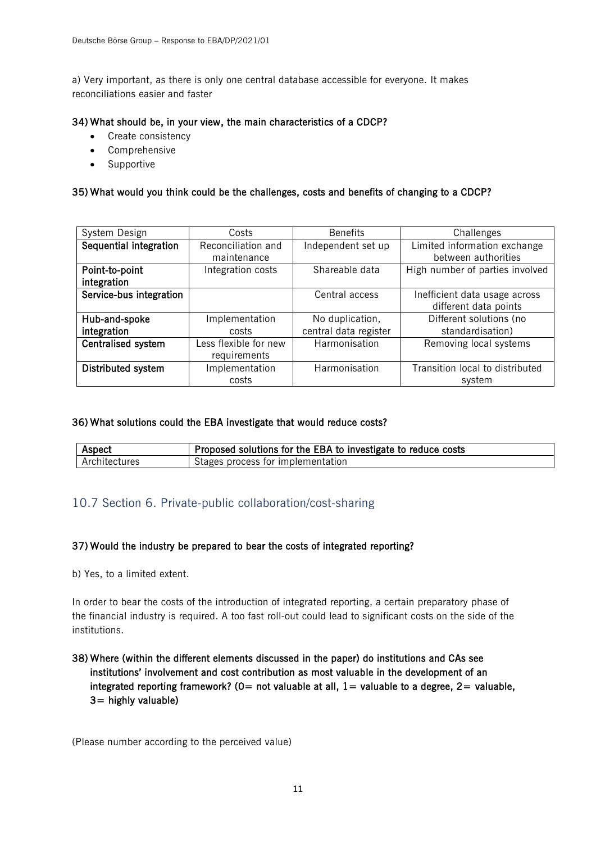a) Very important, as there is only one central database accessible for everyone. It makes reconciliations easier and faster

#### 34) What should be, in your view, the main characteristics of a CDCP?

- Create consistency
- Comprehensive
- Supportive

#### 35) What would you think could be the challenges, costs and benefits of changing to a CDCP?

| System Design                 | Costs                             | <b>Benefits</b>       | Challenges                                             |
|-------------------------------|-----------------------------------|-----------------------|--------------------------------------------------------|
| Sequential integration        | Reconciliation and<br>maintenance | Independent set up    | Limited information exchange<br>between authorities    |
| Point-to-point<br>integration | Integration costs                 | Shareable data        | High number of parties involved                        |
| Service-bus integration       |                                   | Central access        | Inefficient data usage across<br>different data points |
| Hub-and-spoke                 | Implementation                    | No duplication,       | Different solutions (no                                |
| integration                   | costs                             | central data register | standardisation)                                       |
| Centralised system            | Less flexible for new             | Harmonisation         | Removing local systems                                 |
|                               | requirements                      |                       |                                                        |
| Distributed system            | Implementation                    | Harmonisation         | Transition local to distributed                        |
|                               | costs                             |                       | system                                                 |

#### 36) What solutions could the EBA investigate that would reduce costs?

| Aspect        | Proposed solutions for the EBA to investigate to reduce costs |  |
|---------------|---------------------------------------------------------------|--|
| Architectures | Stages process for implementation                             |  |

## 10.7 Section 6. Private-public collaboration/cost-sharing

#### 37) Would the industry be prepared to bear the costs of integrated reporting?

b) Yes, to a limited extent.

In order to bear the costs of the introduction of integrated reporting, a certain preparatory phase of the financial industry is required. A too fast roll-out could lead to significant costs on the side of the institutions.

38) Where (within the different elements discussed in the paper) do institutions and CAs see institutions' involvement and cost contribution as most valuable in the development of an integrated reporting framework? ( $0=$  not valuable at all,  $1=$  valuable to a degree,  $2=$  valuable,  $3=$  highly valuable)

(Please number according to the perceived value)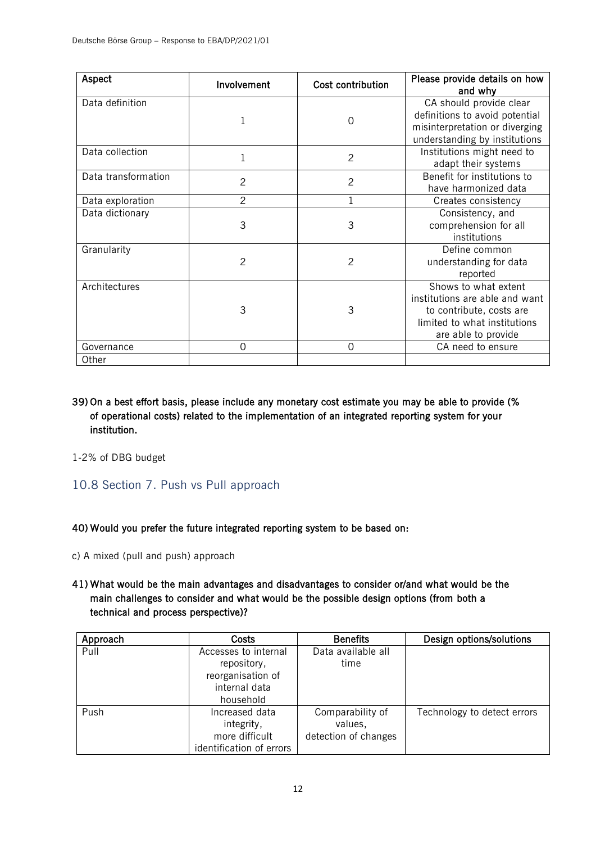| Aspect              | Involvement    | Cost contribution | Please provide details on how<br>and why                                                                                                  |
|---------------------|----------------|-------------------|-------------------------------------------------------------------------------------------------------------------------------------------|
| Data definition     | 1              | $\Omega$          | CA should provide clear<br>definitions to avoid potential<br>misinterpretation or diverging<br>understanding by institutions              |
| Data collection     | $\mathbf 1$    | $\overline{2}$    | Institutions might need to<br>adapt their systems                                                                                         |
| Data transformation | $\overline{c}$ | $\overline{2}$    | Benefit for institutions to<br>have harmonized data                                                                                       |
| Data exploration    | 2              |                   | Creates consistency                                                                                                                       |
| Data dictionary     | 3              | 3                 | Consistency, and<br>comprehension for all<br>institutions                                                                                 |
| Granularity         | $\overline{2}$ | $\overline{2}$    | Define common<br>understanding for data<br>reported                                                                                       |
| Architectures       | 3              | 3                 | Shows to what extent<br>institutions are able and want<br>to contribute, costs are<br>limited to what institutions<br>are able to provide |
| Governance          | $\Omega$       | $\overline{0}$    | CA need to ensure                                                                                                                         |
| Other               |                |                   |                                                                                                                                           |

## 39) On a best effort basis, please include any monetary cost estimate you may be able to provide (% of operational costs) related to the implementation of an integrated reporting system for your institution.

1-2% of DBG budget

## 10.8 Section 7. Push vs Pull approach

#### 40) Would you prefer the future integrated reporting system to be based on:

c) A mixed (pull and push) approach

## 41) What would be the main advantages and disadvantages to consider or/and what would be the main challenges to consider and what would be the possible design options (from both a technical and process perspective)?

| Approach | Costs                    | <b>Benefits</b>      | Design options/solutions    |
|----------|--------------------------|----------------------|-----------------------------|
| Pull     | Accesses to internal     | Data available all   |                             |
|          | repository,              | time                 |                             |
|          | reorganisation of        |                      |                             |
|          | internal data            |                      |                             |
|          | household                |                      |                             |
| Push     | Increased data           | Comparability of     | Technology to detect errors |
|          | integrity,               | values,              |                             |
|          | more difficult           | detection of changes |                             |
|          | identification of errors |                      |                             |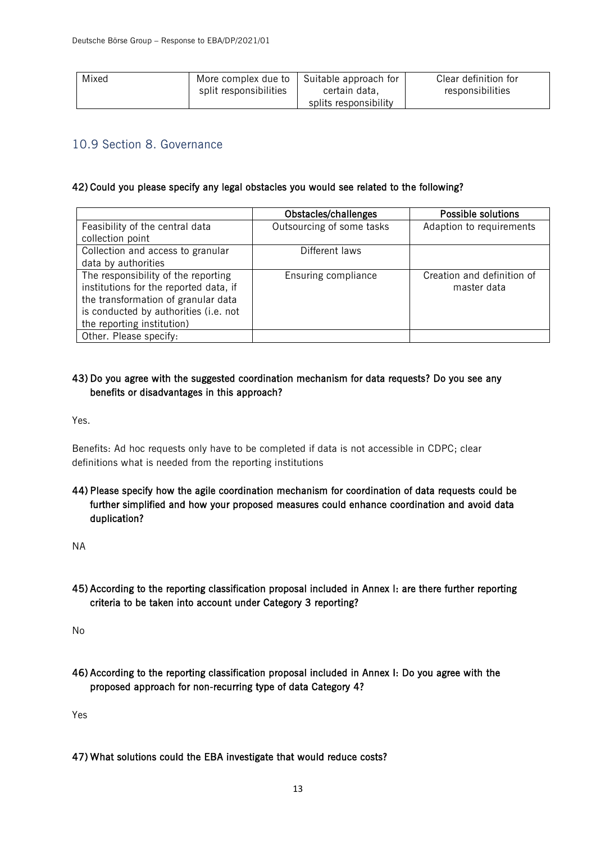| Mixed | More complex due to    | Suitable approach for | Clear definition for |
|-------|------------------------|-----------------------|----------------------|
|       | split responsibilities | certain data,         | responsibilities     |
|       |                        | splits responsibility |                      |

## 10.9 Section 8. Governance

#### 42) Could you please specify any legal obstacles you would see related to the following?

|                                        | Obstacles/challenges      | Possible solutions         |
|----------------------------------------|---------------------------|----------------------------|
| Feasibility of the central data        | Outsourcing of some tasks | Adaption to requirements   |
| collection point                       |                           |                            |
| Collection and access to granular      | Different laws            |                            |
| data by authorities                    |                           |                            |
| The responsibility of the reporting    | Ensuring compliance       | Creation and definition of |
| institutions for the reported data, if |                           | master data                |
| the transformation of granular data    |                           |                            |
| is conducted by authorities (i.e. not  |                           |                            |
| the reporting institution)             |                           |                            |
| Other. Please specify:                 |                           |                            |

## 43) Do you agree with the suggested coordination mechanism for data requests? Do you see any benefits or disadvantages in this approach?

Yes.

Benefits: Ad hoc requests only have to be completed if data is not accessible in CDPC; clear definitions what is needed from the reporting institutions

44) Please specify how the agile coordination mechanism for coordination of data requests could be further simplified and how your proposed measures could enhance coordination and avoid data duplication?

NA

## 45) According to the reporting classification proposal included in Annex I: are there further reporting criteria to be taken into account under Category 3 reporting?

No

46) According to the reporting classification proposal included in Annex I: Do you agree with the proposed approach for non-recurring type of data Category 4?

Yes

47) What solutions could the EBA investigate that would reduce costs?